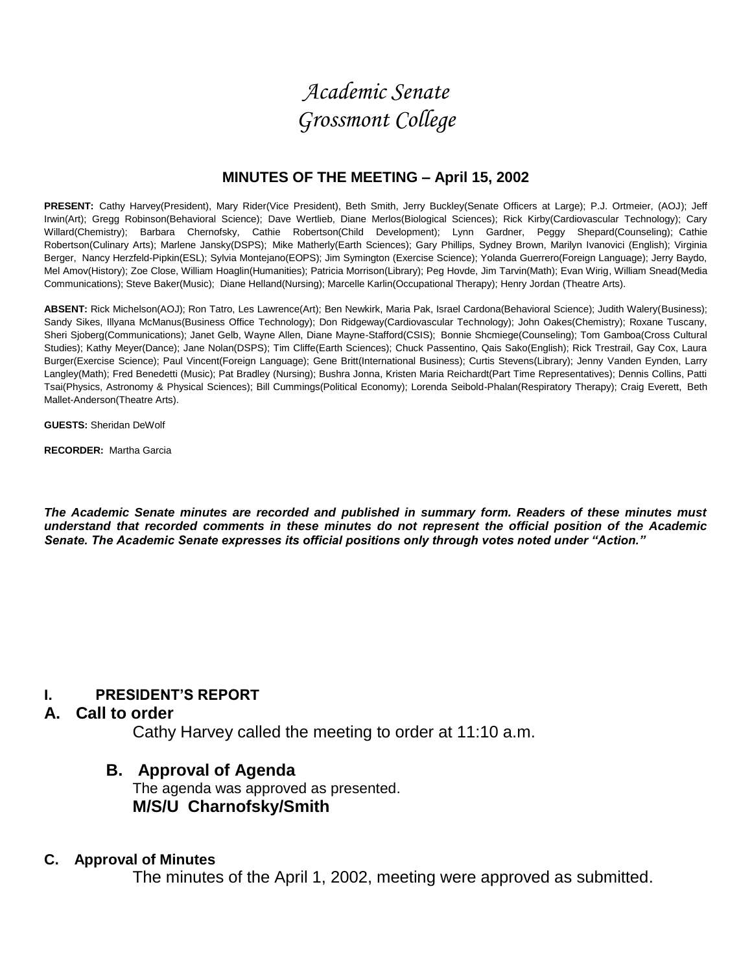# *Academic Senate Grossmont College*

#### **MINUTES OF THE MEETING – April 15, 2002**

**PRESENT:** Cathy Harvey(President), Mary Rider(Vice President), Beth Smith, Jerry Buckley(Senate Officers at Large); P.J. Ortmeier, (AOJ); Jeff Irwin(Art); Gregg Robinson(Behavioral Science); Dave Wertlieb, Diane Merlos(Biological Sciences); Rick Kirby(Cardiovascular Technology); Cary Willard(Chemistry); Barbara Chernofsky, Cathie Robertson(Child Development); Lynn Gardner, Peggy Shepard(Counseling); Cathie Robertson(Culinary Arts); Marlene Jansky(DSPS); Mike Matherly(Earth Sciences); Gary Phillips, Sydney Brown, Marilyn Ivanovici (English); Virginia Berger, Nancy Herzfeld-Pipkin(ESL); Sylvia Montejano(EOPS); Jim Symington (Exercise Science); Yolanda Guerrero(Foreign Language); Jerry Baydo, Mel Amov(History); Zoe Close, William Hoaglin(Humanities); Patricia Morrison(Library); Peg Hovde, Jim Tarvin(Math); Evan Wirig, William Snead(Media Communications); Steve Baker(Music); Diane Helland(Nursing); Marcelle Karlin(Occupational Therapy); Henry Jordan (Theatre Arts).

**ABSENT:** Rick Michelson(AOJ); Ron Tatro, Les Lawrence(Art); Ben Newkirk, Maria Pak, Israel Cardona(Behavioral Science); Judith Walery(Business); Sandy Sikes, Illyana McManus(Business Office Technology); Don Ridgeway(Cardiovascular Technology); John Oakes(Chemistry); Roxane Tuscany, Sheri Sjoberg(Communications); Janet Gelb, Wayne Allen, Diane Mayne-Stafford(CSIS); Bonnie Shcmiege(Counseling); Tom Gamboa(Cross Cultural Studies); Kathy Meyer(Dance); Jane Nolan(DSPS); Tim Cliffe(Earth Sciences); Chuck Passentino, Qais Sako(English); Rick Trestrail, Gay Cox, Laura Burger(Exercise Science); Paul Vincent(Foreign Language); Gene Britt(International Business); Curtis Stevens(Library); Jenny Vanden Eynden, Larry Langley(Math); Fred Benedetti (Music); Pat Bradley (Nursing); Bushra Jonna, Kristen Maria Reichardt(Part Time Representatives); Dennis Collins, Patti Tsai(Physics, Astronomy & Physical Sciences); Bill Cummings(Political Economy); Lorenda Seibold-Phalan(Respiratory Therapy); Craig Everett, Beth Mallet-Anderson(Theatre Arts).

**GUESTS:** Sheridan DeWolf

**RECORDER:** Martha Garcia

*The Academic Senate minutes are recorded and published in summary form. Readers of these minutes must understand that recorded comments in these minutes do not represent the official position of the Academic Senate. The Academic Senate expresses its official positions only through votes noted under "Action."*

### **I. PRESIDENT'S REPORT**

#### **A. Call to order**

Cathy Harvey called the meeting to order at 11:10 a.m.

### **B. Approval of Agenda**

The agenda was approved as presented. **M/S/U Charnofsky/Smith**

#### **C. Approval of Minutes**

The minutes of the April 1, 2002, meeting were approved as submitted.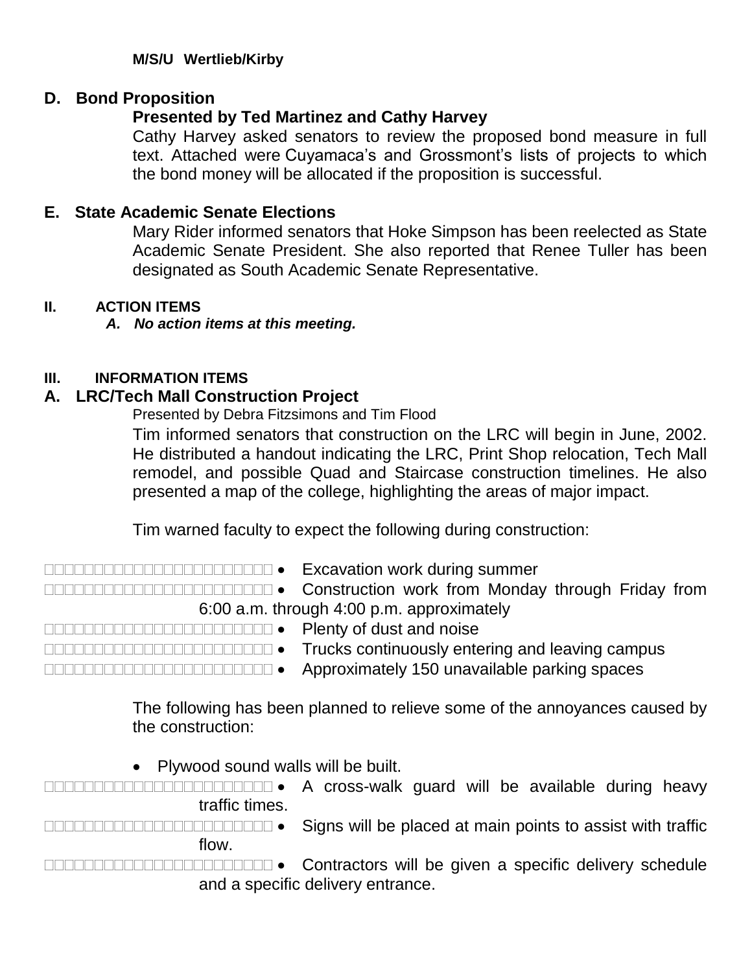### **M/S/U Wertlieb/Kirby**

# **D. Bond Proposition**

# **Presented by Ted Martinez and Cathy Harvey**

Cathy Harvey asked senators to review the proposed bond measure in full text. Attached were Cuyamaca's and Grossmont's lists of projects to which the bond money will be allocated if the proposition is successful.

# **E. State Academic Senate Elections**

Mary Rider informed senators that Hoke Simpson has been reelected as State Academic Senate President. She also reported that Renee Tuller has been designated as South Academic Senate Representative.

### **II. ACTION ITEMS**

*A. No action items at this meeting.*

### **III. INFORMATION ITEMS**

## **A. LRC/Tech Mall Construction Project**

Presented by Debra Fitzsimons and Tim Flood

Tim informed senators that construction on the LRC will begin in June, 2002. He distributed a handout indicating the LRC, Print Shop relocation, Tech Mall remodel, and possible Quad and Staircase construction timelines. He also presented a map of the college, highlighting the areas of major impact.

Tim warned faculty to expect the following during construction:

Excavation work during summer

CONSTRUCTION CONSTRUCTION WORK from Monday through Friday from 6:00 a.m. through 4:00 p.m. approximately

- Plenty of dust and noise
	-
- **TRUCKS** continuously entering and leaving campus
- 
- Approximately 150 unavailable parking spaces

The following has been planned to relieve some of the annoyances caused by the construction:

Plywood sound walls will be built.

 A cross-walk guard will be available during heavy traffic times.

DECOMENDER CONSIDERTIES CONSIDER THE Signs will be placed at main points to assist with traffic flow.

DODODODODODODODODO • Contractors will be given a specific delivery schedule and a specific delivery entrance.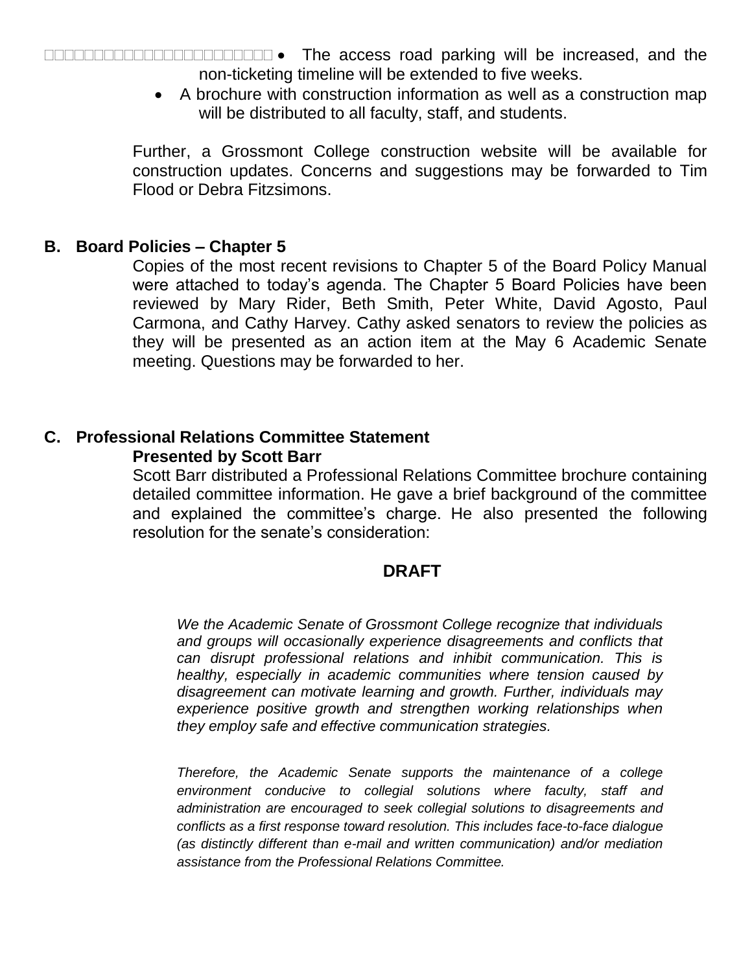The access road parking will be increased, and the non-ticketing timeline will be extended to five weeks.

> A brochure with construction information as well as a construction map will be distributed to all faculty, staff, and students.

Further, a Grossmont College construction website will be available for construction updates. Concerns and suggestions may be forwarded to Tim Flood or Debra Fitzsimons.

### **B. Board Policies – Chapter 5**

Copies of the most recent revisions to Chapter 5 of the Board Policy Manual were attached to today's agenda. The Chapter 5 Board Policies have been reviewed by Mary Rider, Beth Smith, Peter White, David Agosto, Paul Carmona, and Cathy Harvey. Cathy asked senators to review the policies as they will be presented as an action item at the May 6 Academic Senate meeting. Questions may be forwarded to her.

#### **C. Professional Relations Committee Statement Presented by Scott Barr**

Scott Barr distributed a Professional Relations Committee brochure containing detailed committee information. He gave a brief background of the committee and explained the committee's charge. He also presented the following resolution for the senate's consideration:

## **DRAFT**

*We the Academic Senate of Grossmont College recognize that individuals and groups will occasionally experience disagreements and conflicts that can disrupt professional relations and inhibit communication. This is healthy, especially in academic communities where tension caused by disagreement can motivate learning and growth. Further, individuals may experience positive growth and strengthen working relationships when they employ safe and effective communication strategies.*

*Therefore, the Academic Senate supports the maintenance of a college environment conducive to collegial solutions where faculty, staff and administration are encouraged to seek collegial solutions to disagreements and conflicts as a first response toward resolution. This includes face-to-face dialogue (as distinctly different than e-mail and written communication) and/or mediation assistance from the Professional Relations Committee.*